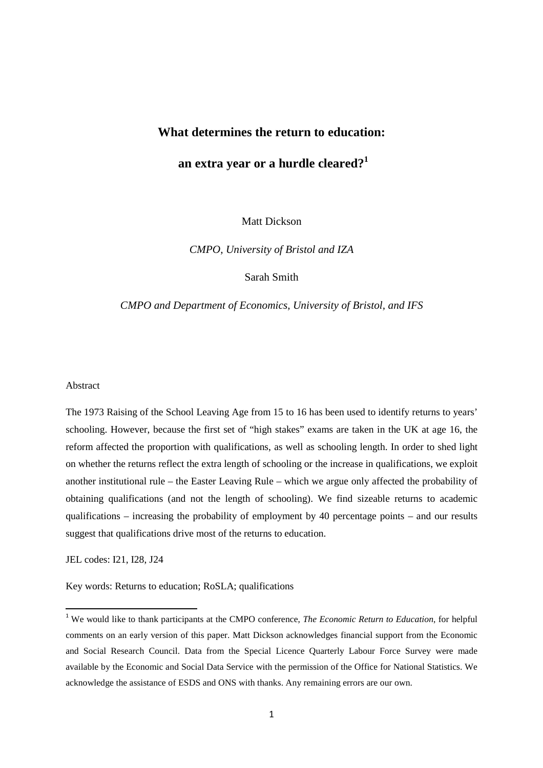## **What determines the return to education:**

## **an extra year or a hurdle cleared?<sup>1</sup>**

Matt Dickson

*CMPO, University of Bristol and IZA* 

Sarah Smith

### *CMPO and Department of Economics, University of Bristol, and IFS*

#### Abstract

The 1973 Raising of the School Leaving Age from 15 to 16 has been used to identify returns to years' schooling. However, because the first set of "high stakes" exams are taken in the UK at age 16, the reform affected the proportion with qualifications, as well as schooling length. In order to shed light on whether the returns reflect the extra length of schooling or the increase in qualifications, we exploit another institutional rule – the Easter Leaving Rule – which we argue only affected the probability of obtaining qualifications (and not the length of schooling). We find sizeable returns to academic qualifications – increasing the probability of employment by 40 percentage points – and our results suggest that qualifications drive most of the returns to education.

JEL codes: I21, I28, J24

 $\overline{a}$ 

Key words: Returns to education; RoSLA; qualifications

<sup>1</sup> We would like to thank participants at the CMPO conference, *The Economic Return to Education*, for helpful comments on an early version of this paper. Matt Dickson acknowledges financial support from the Economic and Social Research Council. Data from the Special Licence Quarterly Labour Force Survey were made available by the Economic and Social Data Service with the permission of the Office for National Statistics. We acknowledge the assistance of ESDS and ONS with thanks. Any remaining errors are our own.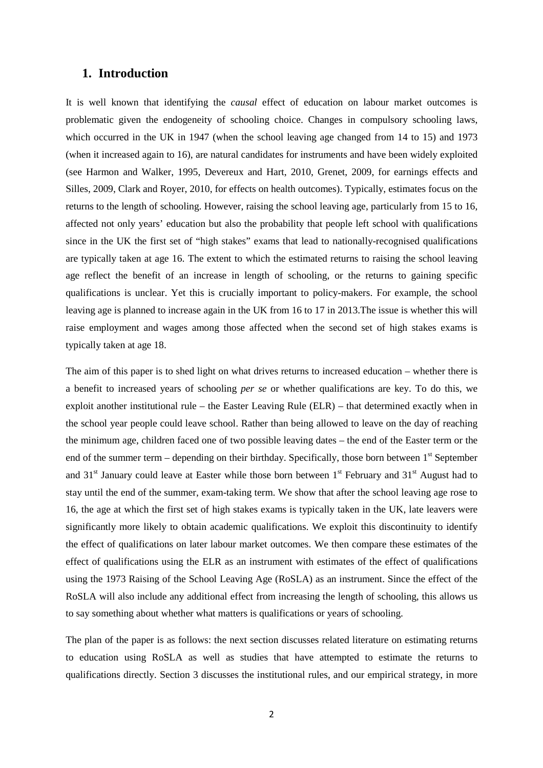## **1. Introduction**

It is well known that identifying the *causal* effect of education on labour market outcomes is problematic given the endogeneity of schooling choice. Changes in compulsory schooling laws, which occurred in the UK in 1947 (when the school leaving age changed from 14 to 15) and 1973 (when it increased again to 16), are natural candidates for instruments and have been widely exploited (see Harmon and Walker, 1995, Devereux and Hart, 2010, Grenet, 2009, for earnings effects and Silles, 2009, Clark and Royer, 2010, for effects on health outcomes). Typically, estimates focus on the returns to the length of schooling. However, raising the school leaving age, particularly from 15 to 16, affected not only years' education but also the probability that people left school with qualifications since in the UK the first set of "high stakes" exams that lead to nationally-recognised qualifications are typically taken at age 16. The extent to which the estimated returns to raising the school leaving age reflect the benefit of an increase in length of schooling, or the returns to gaining specific qualifications is unclear. Yet this is crucially important to policy-makers. For example, the school leaving age is planned to increase again in the UK from 16 to 17 in 2013.The issue is whether this will raise employment and wages among those affected when the second set of high stakes exams is typically taken at age 18.

The aim of this paper is to shed light on what drives returns to increased education – whether there is a benefit to increased years of schooling *per se* or whether qualifications are key. To do this, we exploit another institutional rule – the Easter Leaving Rule (ELR) – that determined exactly when in the school year people could leave school. Rather than being allowed to leave on the day of reaching the minimum age, children faced one of two possible leaving dates – the end of the Easter term or the end of the summer term – depending on their birthday. Specifically, those born between  $1<sup>st</sup>$  September and 31<sup>st</sup> January could leave at Easter while those born between  $1<sup>st</sup>$  February and 31<sup>st</sup> August had to stay until the end of the summer, exam-taking term. We show that after the school leaving age rose to 16, the age at which the first set of high stakes exams is typically taken in the UK, late leavers were significantly more likely to obtain academic qualifications. We exploit this discontinuity to identify the effect of qualifications on later labour market outcomes. We then compare these estimates of the effect of qualifications using the ELR as an instrument with estimates of the effect of qualifications using the 1973 Raising of the School Leaving Age (RoSLA) as an instrument. Since the effect of the RoSLA will also include any additional effect from increasing the length of schooling, this allows us to say something about whether what matters is qualifications or years of schooling.

The plan of the paper is as follows: the next section discusses related literature on estimating returns to education using RoSLA as well as studies that have attempted to estimate the returns to qualifications directly. Section 3 discusses the institutional rules, and our empirical strategy, in more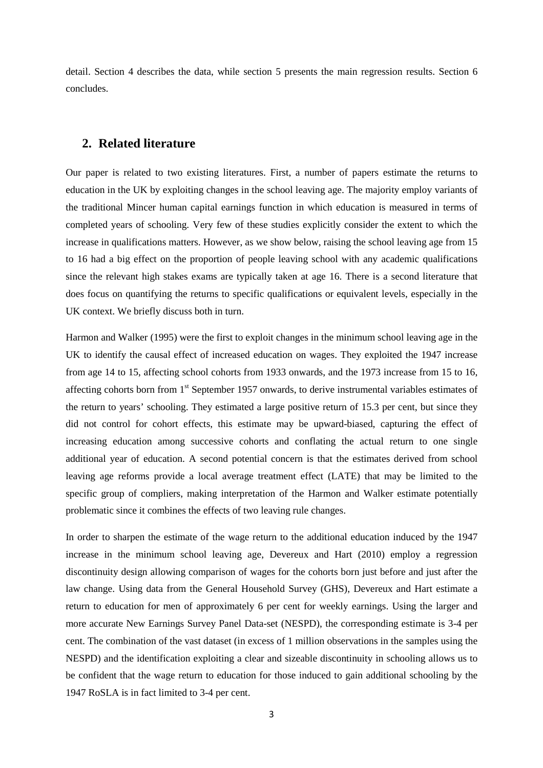detail. Section 4 describes the data, while section 5 presents the main regression results. Section 6 concludes.

## **2. Related literature**

Our paper is related to two existing literatures. First, a number of papers estimate the returns to education in the UK by exploiting changes in the school leaving age. The majority employ variants of the traditional Mincer human capital earnings function in which education is measured in terms of completed years of schooling. Very few of these studies explicitly consider the extent to which the increase in qualifications matters. However, as we show below, raising the school leaving age from 15 to 16 had a big effect on the proportion of people leaving school with any academic qualifications since the relevant high stakes exams are typically taken at age 16. There is a second literature that does focus on quantifying the returns to specific qualifications or equivalent levels, especially in the UK context. We briefly discuss both in turn.

Harmon and Walker (1995) were the first to exploit changes in the minimum school leaving age in the UK to identify the causal effect of increased education on wages. They exploited the 1947 increase from age 14 to 15, affecting school cohorts from 1933 onwards, and the 1973 increase from 15 to 16, affecting cohorts born from 1<sup>st</sup> September 1957 onwards, to derive instrumental variables estimates of the return to years' schooling. They estimated a large positive return of 15.3 per cent, but since they did not control for cohort effects, this estimate may be upward-biased, capturing the effect of increasing education among successive cohorts and conflating the actual return to one single additional year of education. A second potential concern is that the estimates derived from school leaving age reforms provide a local average treatment effect (LATE) that may be limited to the specific group of compliers, making interpretation of the Harmon and Walker estimate potentially problematic since it combines the effects of two leaving rule changes.

In order to sharpen the estimate of the wage return to the additional education induced by the 1947 increase in the minimum school leaving age, Devereux and Hart (2010) employ a regression discontinuity design allowing comparison of wages for the cohorts born just before and just after the law change. Using data from the General Household Survey (GHS), Devereux and Hart estimate a return to education for men of approximately 6 per cent for weekly earnings. Using the larger and more accurate New Earnings Survey Panel Data-set (NESPD), the corresponding estimate is 3-4 per cent. The combination of the vast dataset (in excess of 1 million observations in the samples using the NESPD) and the identification exploiting a clear and sizeable discontinuity in schooling allows us to be confident that the wage return to education for those induced to gain additional schooling by the 1947 RoSLA is in fact limited to 3-4 per cent.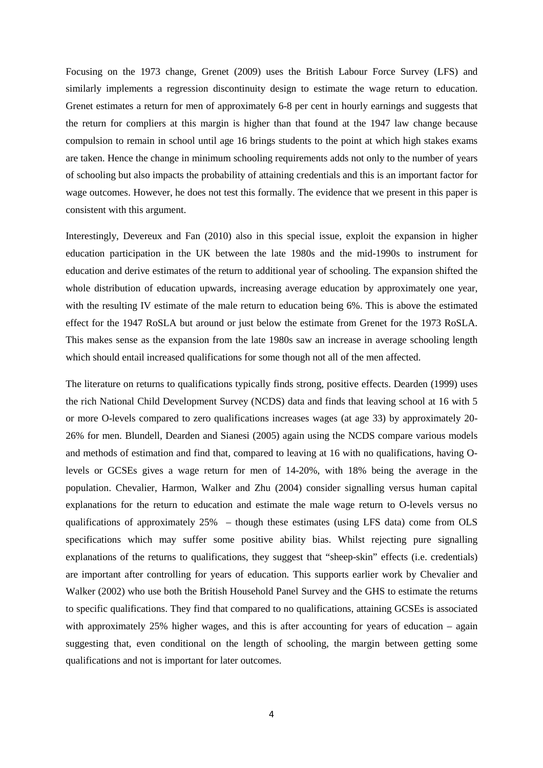Focusing on the 1973 change, Grenet (2009) uses the British Labour Force Survey (LFS) and similarly implements a regression discontinuity design to estimate the wage return to education. Grenet estimates a return for men of approximately 6-8 per cent in hourly earnings and suggests that the return for compliers at this margin is higher than that found at the 1947 law change because compulsion to remain in school until age 16 brings students to the point at which high stakes exams are taken. Hence the change in minimum schooling requirements adds not only to the number of years of schooling but also impacts the probability of attaining credentials and this is an important factor for wage outcomes. However, he does not test this formally. The evidence that we present in this paper is consistent with this argument.

Interestingly, Devereux and Fan (2010) also in this special issue, exploit the expansion in higher education participation in the UK between the late 1980s and the mid-1990s to instrument for education and derive estimates of the return to additional year of schooling. The expansion shifted the whole distribution of education upwards, increasing average education by approximately one year, with the resulting IV estimate of the male return to education being 6%. This is above the estimated effect for the 1947 RoSLA but around or just below the estimate from Grenet for the 1973 RoSLA. This makes sense as the expansion from the late 1980s saw an increase in average schooling length which should entail increased qualifications for some though not all of the men affected.

The literature on returns to qualifications typically finds strong, positive effects. Dearden (1999) uses the rich National Child Development Survey (NCDS) data and finds that leaving school at 16 with 5 or more O-levels compared to zero qualifications increases wages (at age 33) by approximately 20- 26% for men. Blundell, Dearden and Sianesi (2005) again using the NCDS compare various models and methods of estimation and find that, compared to leaving at 16 with no qualifications, having Olevels or GCSEs gives a wage return for men of 14-20%, with 18% being the average in the population. Chevalier, Harmon, Walker and Zhu (2004) consider signalling versus human capital explanations for the return to education and estimate the male wage return to O-levels versus no qualifications of approximately 25% – though these estimates (using LFS data) come from OLS specifications which may suffer some positive ability bias. Whilst rejecting pure signalling explanations of the returns to qualifications, they suggest that "sheep-skin" effects (i.e. credentials) are important after controlling for years of education. This supports earlier work by Chevalier and Walker (2002) who use both the British Household Panel Survey and the GHS to estimate the returns to specific qualifications. They find that compared to no qualifications, attaining GCSEs is associated with approximately 25% higher wages, and this is after accounting for years of education – again suggesting that, even conditional on the length of schooling, the margin between getting some qualifications and not is important for later outcomes.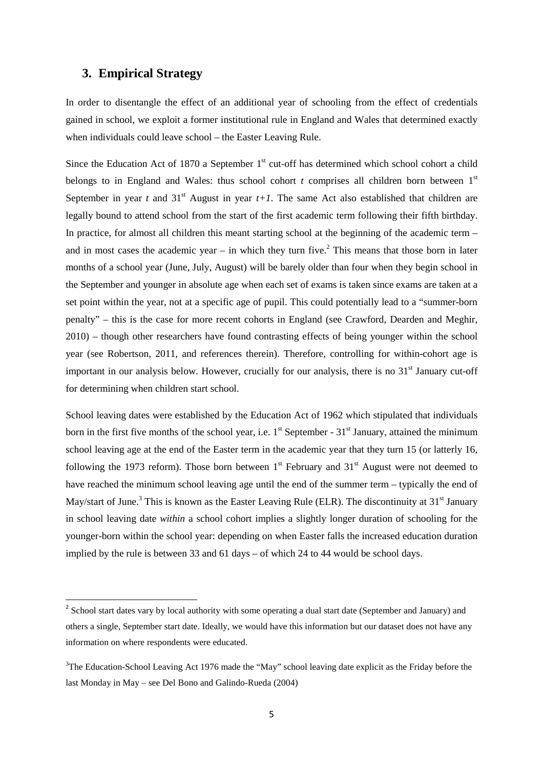## **3. Empirical Strategy**

l

In order to disentangle the effect of an additional year of schooling from the effect of credentials gained in school, we exploit a former institutional rule in England and Wales that determined exactly when individuals could leave school – the Easter Leaving Rule.

Since the Education Act of 1870 a September  $1<sup>st</sup>$  cut-off has determined which school cohort a child belongs to in England and Wales: thus school cohort  $t$  comprises all children born between  $1<sup>st</sup>$ September in year *t* and  $31<sup>st</sup>$  August in year  $t+1$ . The same Act also established that children are legally bound to attend school from the start of the first academic term following their fifth birthday. In practice, for almost all children this meant starting school at the beginning of the academic term – and in most cases the academic year  $-$  in which they turn five.<sup>2</sup> This means that those born in later months of a school year (June, July, August) will be barely older than four when they begin school in the September and younger in absolute age when each set of exams is taken since exams are taken at a set point within the year, not at a specific age of pupil. This could potentially lead to a "summer-born penalty" – this is the case for more recent cohorts in England (see Crawford, Dearden and Meghir, 2010) – though other researchers have found contrasting effects of being younger within the school year (see Robertson, 2011, and references therein). Therefore, controlling for within-cohort age is important in our analysis below. However, crucially for our analysis, there is no  $31<sup>st</sup>$  January cut-off for determining when children start school.

School leaving dates were established by the Education Act of 1962 which stipulated that individuals born in the first five months of the school year, i.e. 1<sup>st</sup> September - 31<sup>st</sup> January, attained the minimum school leaving age at the end of the Easter term in the academic year that they turn 15 (or latterly 16, following the 1973 reform). Those born between  $1<sup>st</sup>$  February and  $31<sup>st</sup>$  August were not deemed to have reached the minimum school leaving age until the end of the summer term – typically the end of May/start of June.<sup>3</sup> This is known as the Easter Leaving Rule (ELR). The discontinuity at 31<sup>st</sup> January in school leaving date *within* a school cohort implies a slightly longer duration of schooling for the younger-born within the school year: depending on when Easter falls the increased education duration implied by the rule is between 33 and 61 days – of which 24 to 44 would be school days.

<sup>&</sup>lt;sup>2</sup> School start dates vary by local authority with some operating a dual start date (September and January) and others a single, September start date. Ideally, we would have this information but our dataset does not have any information on where respondents were educated.

<sup>&</sup>lt;sup>3</sup>The Education-School Leaving Act 1976 made the "May" school leaving date explicit as the Friday before the last Monday in May – see Del Bono and Galindo-Rueda (2004)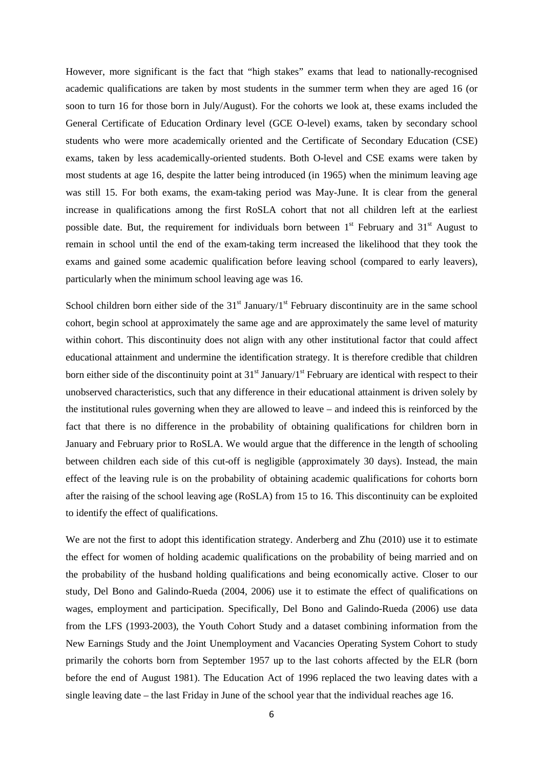However, more significant is the fact that "high stakes" exams that lead to nationally-recognised academic qualifications are taken by most students in the summer term when they are aged 16 (or soon to turn 16 for those born in July/August). For the cohorts we look at, these exams included the General Certificate of Education Ordinary level (GCE O-level) exams, taken by secondary school students who were more academically oriented and the Certificate of Secondary Education (CSE) exams, taken by less academically-oriented students. Both O-level and CSE exams were taken by most students at age 16, despite the latter being introduced (in 1965) when the minimum leaving age was still 15. For both exams, the exam-taking period was May-June. It is clear from the general increase in qualifications among the first RoSLA cohort that not all children left at the earliest possible date. But, the requirement for individuals born between  $1<sup>st</sup>$  February and  $31<sup>st</sup>$  August to remain in school until the end of the exam-taking term increased the likelihood that they took the exams and gained some academic qualification before leaving school (compared to early leavers), particularly when the minimum school leaving age was 16.

School children born either side of the  $31<sup>st</sup>$  January/1<sup>st</sup> February discontinuity are in the same school cohort, begin school at approximately the same age and are approximately the same level of maturity within cohort. This discontinuity does not align with any other institutional factor that could affect educational attainment and undermine the identification strategy. It is therefore credible that children born either side of the discontinuity point at  $31<sup>st</sup>$  January/1<sup>st</sup> February are identical with respect to their unobserved characteristics, such that any difference in their educational attainment is driven solely by the institutional rules governing when they are allowed to leave – and indeed this is reinforced by the fact that there is no difference in the probability of obtaining qualifications for children born in January and February prior to RoSLA. We would argue that the difference in the length of schooling between children each side of this cut-off is negligible (approximately 30 days). Instead, the main effect of the leaving rule is on the probability of obtaining academic qualifications for cohorts born after the raising of the school leaving age (RoSLA) from 15 to 16. This discontinuity can be exploited to identify the effect of qualifications.

We are not the first to adopt this identification strategy. Anderberg and Zhu (2010) use it to estimate the effect for women of holding academic qualifications on the probability of being married and on the probability of the husband holding qualifications and being economically active. Closer to our study, Del Bono and Galindo-Rueda (2004, 2006) use it to estimate the effect of qualifications on wages, employment and participation. Specifically, Del Bono and Galindo-Rueda (2006) use data from the LFS (1993-2003), the Youth Cohort Study and a dataset combining information from the New Earnings Study and the Joint Unemployment and Vacancies Operating System Cohort to study primarily the cohorts born from September 1957 up to the last cohorts affected by the ELR (born before the end of August 1981). The Education Act of 1996 replaced the two leaving dates with a single leaving date – the last Friday in June of the school year that the individual reaches age 16.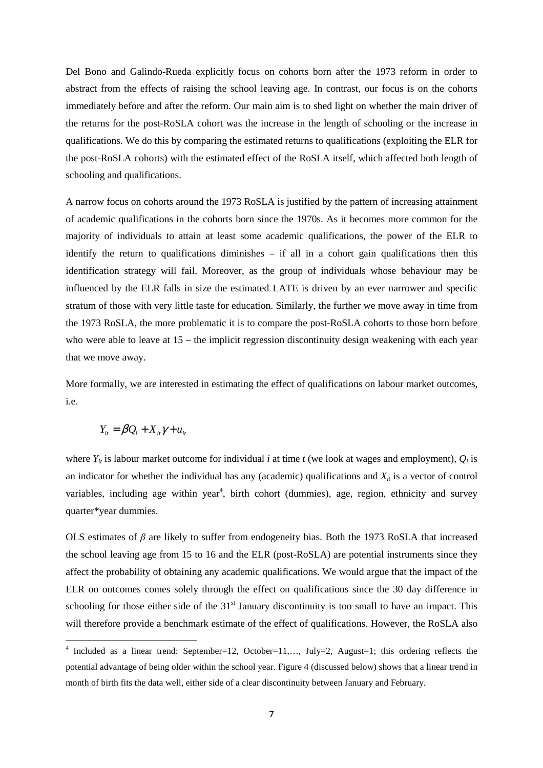Del Bono and Galindo-Rueda explicitly focus on cohorts born after the 1973 reform in order to abstract from the effects of raising the school leaving age. In contrast, our focus is on the cohorts immediately before and after the reform. Our main aim is to shed light on whether the main driver of the returns for the post-RoSLA cohort was the increase in the length of schooling or the increase in qualifications. We do this by comparing the estimated returns to qualifications (exploiting the ELR for the post-RoSLA cohorts) with the estimated effect of the RoSLA itself, which affected both length of schooling and qualifications.

A narrow focus on cohorts around the 1973 RoSLA is justified by the pattern of increasing attainment of academic qualifications in the cohorts born since the 1970s. As it becomes more common for the majority of individuals to attain at least some academic qualifications, the power of the ELR to identify the return to qualifications diminishes – if all in a cohort gain qualifications then this identification strategy will fail. Moreover, as the group of individuals whose behaviour may be influenced by the ELR falls in size the estimated LATE is driven by an ever narrower and specific stratum of those with very little taste for education. Similarly, the further we move away in time from the 1973 RoSLA, the more problematic it is to compare the post-RoSLA cohorts to those born before who were able to leave at  $15$  – the implicit regression discontinuity design weakening with each year that we move away.

More formally, we are interested in estimating the effect of qualifications on labour market outcomes, i.e.

$$
Y_{it} = \beta Q_i + X_{it}\gamma + u_{it}
$$

l

where  $Y_{it}$  is labour market outcome for individual *i* at time *t* (we look at wages and employment),  $Q_i$  is an indicator for whether the individual has any (academic) qualifications and  $X_i$  is a vector of control variables, including age within year<sup>4</sup>, birth cohort (dummies), age, region, ethnicity and survey quarter\*year dummies.

OLS estimates of  $\beta$  are likely to suffer from endogeneity bias. Both the 1973 RoSLA that increased the school leaving age from 15 to 16 and the ELR (post-RoSLA) are potential instruments since they affect the probability of obtaining any academic qualifications. We would argue that the impact of the ELR on outcomes comes solely through the effect on qualifications since the 30 day difference in schooling for those either side of the  $31<sup>st</sup>$  January discontinuity is too small to have an impact. This will therefore provide a benchmark estimate of the effect of qualifications. However, the RoSLA also

<sup>&</sup>lt;sup>4</sup> Included as a linear trend: September=12, October=11,..., July=2, August=1; this ordering reflects the potential advantage of being older within the school year. Figure 4 (discussed below) shows that a linear trend in month of birth fits the data well, either side of a clear discontinuity between January and February.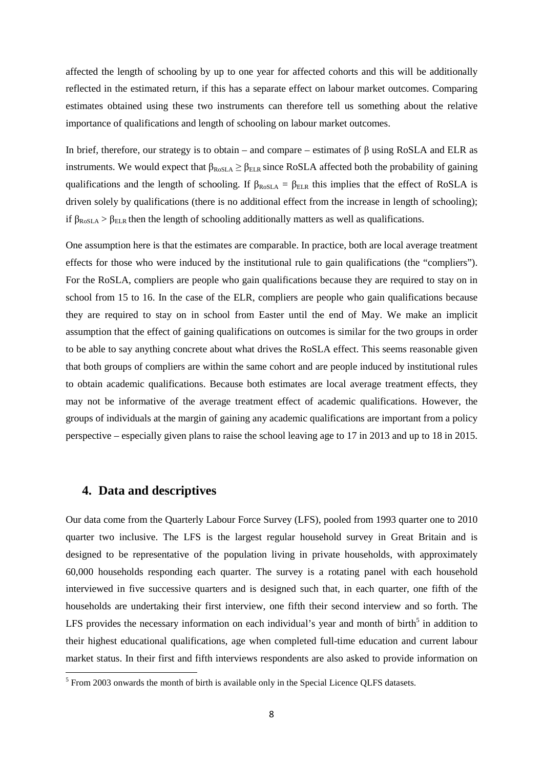affected the length of schooling by up to one year for affected cohorts and this will be additionally reflected in the estimated return, if this has a separate effect on labour market outcomes. Comparing estimates obtained using these two instruments can therefore tell us something about the relative importance of qualifications and length of schooling on labour market outcomes.

In brief, therefore, our strategy is to obtain – and compare – estimates of  $\beta$  using RoSLA and ELR as instruments. We would expect that  $\beta_{\text{RoSLA}} \geq \beta_{\text{ELR}}$  since RoSLA affected both the probability of gaining qualifications and the length of schooling. If  $\beta_{RoSLA} = \beta_{ELR}$  this implies that the effect of RoSLA is driven solely by qualifications (there is no additional effect from the increase in length of schooling); if  $\beta_{\text{RoSLA}} > \beta_{\text{ELR}}$  then the length of schooling additionally matters as well as qualifications.

One assumption here is that the estimates are comparable. In practice, both are local average treatment effects for those who were induced by the institutional rule to gain qualifications (the "compliers"). For the RoSLA, compliers are people who gain qualifications because they are required to stay on in school from 15 to 16. In the case of the ELR, compliers are people who gain qualifications because they are required to stay on in school from Easter until the end of May. We make an implicit assumption that the effect of gaining qualifications on outcomes is similar for the two groups in order to be able to say anything concrete about what drives the RoSLA effect. This seems reasonable given that both groups of compliers are within the same cohort and are people induced by institutional rules to obtain academic qualifications. Because both estimates are local average treatment effects, they may not be informative of the average treatment effect of academic qualifications. However, the groups of individuals at the margin of gaining any academic qualifications are important from a policy perspective – especially given plans to raise the school leaving age to 17 in 2013 and up to 18 in 2015.

### **4. Data and descriptives**

 $\overline{a}$ 

Our data come from the Quarterly Labour Force Survey (LFS), pooled from 1993 quarter one to 2010 quarter two inclusive. The LFS is the largest regular household survey in Great Britain and is designed to be representative of the population living in private households, with approximately 60,000 households responding each quarter. The survey is a rotating panel with each household interviewed in five successive quarters and is designed such that, in each quarter, one fifth of the households are undertaking their first interview, one fifth their second interview and so forth. The LFS provides the necessary information on each individual's year and month of birth<sup>5</sup> in addition to their highest educational qualifications, age when completed full-time education and current labour market status. In their first and fifth interviews respondents are also asked to provide information on

 $<sup>5</sup>$  From 2003 onwards the month of birth is available only in the Special Licence QLFS datasets.</sup>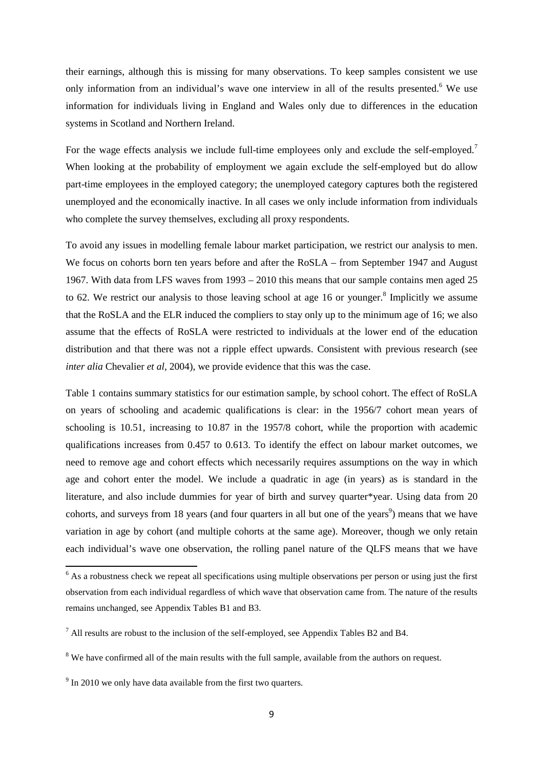their earnings, although this is missing for many observations. To keep samples consistent we use only information from an individual's wave one interview in all of the results presented.<sup>6</sup> We use information for individuals living in England and Wales only due to differences in the education systems in Scotland and Northern Ireland.

For the wage effects analysis we include full-time employees only and exclude the self-employed.<sup>7</sup> When looking at the probability of employment we again exclude the self-employed but do allow part-time employees in the employed category; the unemployed category captures both the registered unemployed and the economically inactive. In all cases we only include information from individuals who complete the survey themselves, excluding all proxy respondents.

To avoid any issues in modelling female labour market participation, we restrict our analysis to men. We focus on cohorts born ten years before and after the RoSLA – from September 1947 and August 1967. With data from LFS waves from 1993 – 2010 this means that our sample contains men aged 25 to 62. We restrict our analysis to those leaving school at age 16 or younger.<sup>8</sup> Implicitly we assume that the RoSLA and the ELR induced the compliers to stay only up to the minimum age of 16; we also assume that the effects of RoSLA were restricted to individuals at the lower end of the education distribution and that there was not a ripple effect upwards. Consistent with previous research (see *inter alia* Chevalier *et al*, 2004), we provide evidence that this was the case.

Table 1 contains summary statistics for our estimation sample, by school cohort. The effect of RoSLA on years of schooling and academic qualifications is clear: in the 1956/7 cohort mean years of schooling is 10.51, increasing to 10.87 in the 1957/8 cohort, while the proportion with academic qualifications increases from 0.457 to 0.613. To identify the effect on labour market outcomes, we need to remove age and cohort effects which necessarily requires assumptions on the way in which age and cohort enter the model. We include a quadratic in age (in years) as is standard in the literature, and also include dummies for year of birth and survey quarter\*year. Using data from 20 cohorts, and surveys from 18 years (and four quarters in all but one of the years<sup>9</sup>) means that we have variation in age by cohort (and multiple cohorts at the same age). Moreover, though we only retain each individual's wave one observation, the rolling panel nature of the QLFS means that we have

l

<sup>&</sup>lt;sup>6</sup> As a robustness check we repeat all specifications using multiple observations per person or using just the first observation from each individual regardless of which wave that observation came from. The nature of the results remains unchanged, see Appendix Tables B1 and B3.

 $<sup>7</sup>$  All results are robust to the inclusion of the self-employed, see Appendix Tables B2 and B4.</sup>

<sup>&</sup>lt;sup>8</sup> We have confirmed all of the main results with the full sample, available from the authors on request.

 $9 \text{ In } 2010$  we only have data available from the first two quarters.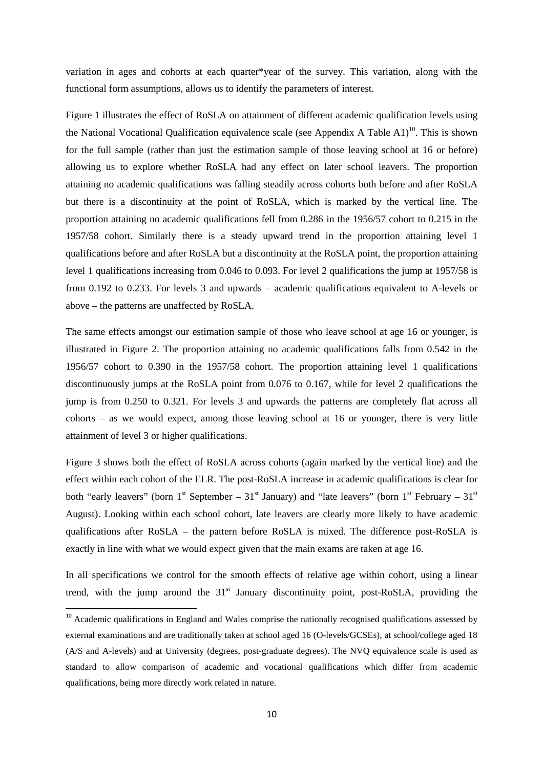variation in ages and cohorts at each quarter\*year of the survey. This variation, along with the functional form assumptions, allows us to identify the parameters of interest.

Figure 1 illustrates the effect of RoSLA on attainment of different academic qualification levels using the National Vocational Qualification equivalence scale (see Appendix A Table A1)<sup>10</sup>. This is shown for the full sample (rather than just the estimation sample of those leaving school at 16 or before) allowing us to explore whether RoSLA had any effect on later school leavers. The proportion attaining no academic qualifications was falling steadily across cohorts both before and after RoSLA but there is a discontinuity at the point of RoSLA, which is marked by the vertical line. The proportion attaining no academic qualifications fell from 0.286 in the 1956/57 cohort to 0.215 in the 1957/58 cohort. Similarly there is a steady upward trend in the proportion attaining level 1 qualifications before and after RoSLA but a discontinuity at the RoSLA point, the proportion attaining level 1 qualifications increasing from 0.046 to 0.093. For level 2 qualifications the jump at 1957/58 is from 0.192 to 0.233. For levels 3 and upwards – academic qualifications equivalent to A-levels or above – the patterns are unaffected by RoSLA.

The same effects amongst our estimation sample of those who leave school at age 16 or younger, is illustrated in Figure 2. The proportion attaining no academic qualifications falls from 0.542 in the 1956/57 cohort to 0.390 in the 1957/58 cohort. The proportion attaining level 1 qualifications discontinuously jumps at the RoSLA point from 0.076 to 0.167, while for level 2 qualifications the jump is from 0.250 to 0.321. For levels 3 and upwards the patterns are completely flat across all cohorts – as we would expect, among those leaving school at 16 or younger, there is very little attainment of level 3 or higher qualifications.

Figure 3 shows both the effect of RoSLA across cohorts (again marked by the vertical line) and the effect within each cohort of the ELR. The post-RoSLA increase in academic qualifications is clear for both "early leavers" (born  $1<sup>st</sup>$  September – 31<sup>st</sup> January) and "late leavers" (born  $1<sup>st</sup>$  February – 31<sup>st</sup> August). Looking within each school cohort, late leavers are clearly more likely to have academic qualifications after RoSLA – the pattern before RoSLA is mixed. The difference post-RoSLA is exactly in line with what we would expect given that the main exams are taken at age 16.

In all specifications we control for the smooth effects of relative age within cohort, using a linear trend, with the jump around the  $31<sup>st</sup>$  January discontinuity point, post-RoSLA, providing the

 $\overline{a}$ 

<sup>&</sup>lt;sup>10</sup> Academic qualifications in England and Wales comprise the nationally recognised qualifications assessed by external examinations and are traditionally taken at school aged 16 (O-levels/GCSEs), at school/college aged 18 (A/S and A-levels) and at University (degrees, post-graduate degrees). The NVQ equivalence scale is used as standard to allow comparison of academic and vocational qualifications which differ from academic qualifications, being more directly work related in nature.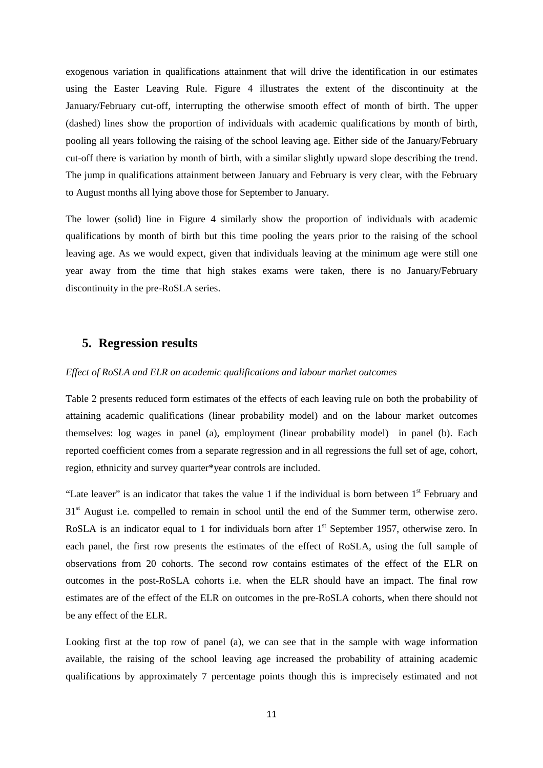exogenous variation in qualifications attainment that will drive the identification in our estimates using the Easter Leaving Rule. Figure 4 illustrates the extent of the discontinuity at the January/February cut-off, interrupting the otherwise smooth effect of month of birth. The upper (dashed) lines show the proportion of individuals with academic qualifications by month of birth, pooling all years following the raising of the school leaving age. Either side of the January/February cut-off there is variation by month of birth, with a similar slightly upward slope describing the trend. The jump in qualifications attainment between January and February is very clear, with the February to August months all lying above those for September to January.

The lower (solid) line in Figure 4 similarly show the proportion of individuals with academic qualifications by month of birth but this time pooling the years prior to the raising of the school leaving age. As we would expect, given that individuals leaving at the minimum age were still one year away from the time that high stakes exams were taken, there is no January/February discontinuity in the pre-RoSLA series.

# **5. Regression results**

#### *Effect of RoSLA and ELR on academic qualifications and labour market outcomes*

Table 2 presents reduced form estimates of the effects of each leaving rule on both the probability of attaining academic qualifications (linear probability model) and on the labour market outcomes themselves: log wages in panel (a), employment (linear probability model) in panel (b). Each reported coefficient comes from a separate regression and in all regressions the full set of age, cohort, region, ethnicity and survey quarter\*year controls are included.

"Late leaver" is an indicator that takes the value 1 if the individual is born between  $1<sup>st</sup>$  February and 31<sup>st</sup> August i.e. compelled to remain in school until the end of the Summer term, otherwise zero. RoSLA is an indicator equal to 1 for individuals born after  $1<sup>st</sup>$  September 1957, otherwise zero. In each panel, the first row presents the estimates of the effect of RoSLA, using the full sample of observations from 20 cohorts. The second row contains estimates of the effect of the ELR on outcomes in the post-RoSLA cohorts i.e. when the ELR should have an impact. The final row estimates are of the effect of the ELR on outcomes in the pre-RoSLA cohorts, when there should not be any effect of the ELR.

Looking first at the top row of panel (a), we can see that in the sample with wage information available, the raising of the school leaving age increased the probability of attaining academic qualifications by approximately 7 percentage points though this is imprecisely estimated and not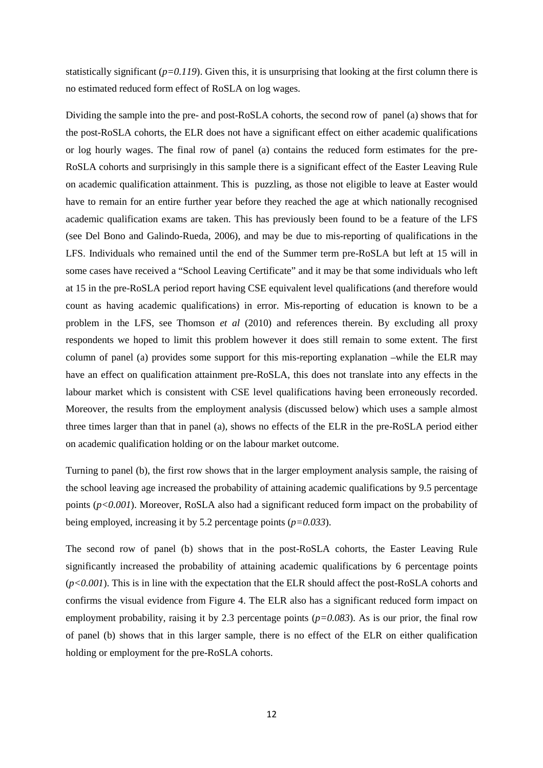statistically significant  $(p=0.119)$ . Given this, it is unsurprising that looking at the first column there is no estimated reduced form effect of RoSLA on log wages.

Dividing the sample into the pre- and post-RoSLA cohorts, the second row of panel (a) shows that for the post-RoSLA cohorts, the ELR does not have a significant effect on either academic qualifications or log hourly wages. The final row of panel (a) contains the reduced form estimates for the pre-RoSLA cohorts and surprisingly in this sample there is a significant effect of the Easter Leaving Rule on academic qualification attainment. This is puzzling, as those not eligible to leave at Easter would have to remain for an entire further year before they reached the age at which nationally recognised academic qualification exams are taken. This has previously been found to be a feature of the LFS (see Del Bono and Galindo-Rueda, 2006), and may be due to mis-reporting of qualifications in the LFS. Individuals who remained until the end of the Summer term pre-RoSLA but left at 15 will in some cases have received a "School Leaving Certificate" and it may be that some individuals who left at 15 in the pre-RoSLA period report having CSE equivalent level qualifications (and therefore would count as having academic qualifications) in error. Mis-reporting of education is known to be a problem in the LFS, see Thomson *et al* (2010) and references therein. By excluding all proxy respondents we hoped to limit this problem however it does still remain to some extent. The first column of panel (a) provides some support for this mis-reporting explanation –while the ELR may have an effect on qualification attainment pre-RoSLA, this does not translate into any effects in the labour market which is consistent with CSE level qualifications having been erroneously recorded. Moreover, the results from the employment analysis (discussed below) which uses a sample almost three times larger than that in panel (a), shows no effects of the ELR in the pre-RoSLA period either on academic qualification holding or on the labour market outcome.

Turning to panel (b), the first row shows that in the larger employment analysis sample, the raising of the school leaving age increased the probability of attaining academic qualifications by 9.5 percentage points (*p<0.001*). Moreover, RoSLA also had a significant reduced form impact on the probability of being employed, increasing it by 5.2 percentage points (*p=0.033*).

The second row of panel (b) shows that in the post-RoSLA cohorts, the Easter Leaving Rule significantly increased the probability of attaining academic qualifications by 6 percentage points (*p<0.001*). This is in line with the expectation that the ELR should affect the post-RoSLA cohorts and confirms the visual evidence from Figure 4. The ELR also has a significant reduced form impact on employment probability, raising it by 2.3 percentage points (*p=0.083*). As is our prior, the final row of panel (b) shows that in this larger sample, there is no effect of the ELR on either qualification holding or employment for the pre-RoSLA cohorts.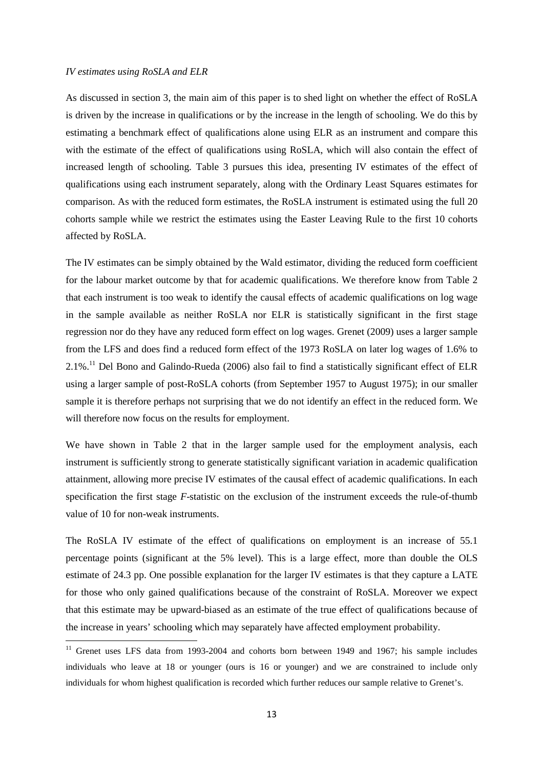#### *IV estimates using RoSLA and ELR*

l

As discussed in section 3, the main aim of this paper is to shed light on whether the effect of RoSLA is driven by the increase in qualifications or by the increase in the length of schooling. We do this by estimating a benchmark effect of qualifications alone using ELR as an instrument and compare this with the estimate of the effect of qualifications using RoSLA, which will also contain the effect of increased length of schooling. Table 3 pursues this idea, presenting IV estimates of the effect of qualifications using each instrument separately, along with the Ordinary Least Squares estimates for comparison. As with the reduced form estimates, the RoSLA instrument is estimated using the full 20 cohorts sample while we restrict the estimates using the Easter Leaving Rule to the first 10 cohorts affected by RoSLA.

The IV estimates can be simply obtained by the Wald estimator, dividing the reduced form coefficient for the labour market outcome by that for academic qualifications. We therefore know from Table 2 that each instrument is too weak to identify the causal effects of academic qualifications on log wage in the sample available as neither RoSLA nor ELR is statistically significant in the first stage regression nor do they have any reduced form effect on log wages. Grenet (2009) uses a larger sample from the LFS and does find a reduced form effect of the 1973 RoSLA on later log wages of 1.6% to 2.1%<sup>11</sup>. Del Bono and Galindo-Rueda (2006) also fail to find a statistically significant effect of ELR using a larger sample of post-RoSLA cohorts (from September 1957 to August 1975); in our smaller sample it is therefore perhaps not surprising that we do not identify an effect in the reduced form. We will therefore now focus on the results for employment.

We have shown in Table 2 that in the larger sample used for the employment analysis, each instrument is sufficiently strong to generate statistically significant variation in academic qualification attainment, allowing more precise IV estimates of the causal effect of academic qualifications. In each specification the first stage *F*-statistic on the exclusion of the instrument exceeds the rule-of-thumb value of 10 for non-weak instruments.

The RoSLA IV estimate of the effect of qualifications on employment is an increase of 55.1 percentage points (significant at the 5% level). This is a large effect, more than double the OLS estimate of 24.3 pp. One possible explanation for the larger IV estimates is that they capture a LATE for those who only gained qualifications because of the constraint of RoSLA. Moreover we expect that this estimate may be upward-biased as an estimate of the true effect of qualifications because of the increase in years' schooling which may separately have affected employment probability.

<sup>&</sup>lt;sup>11</sup> Grenet uses LFS data from 1993-2004 and cohorts born between 1949 and 1967; his sample includes individuals who leave at 18 or younger (ours is 16 or younger) and we are constrained to include only individuals for whom highest qualification is recorded which further reduces our sample relative to Grenet's.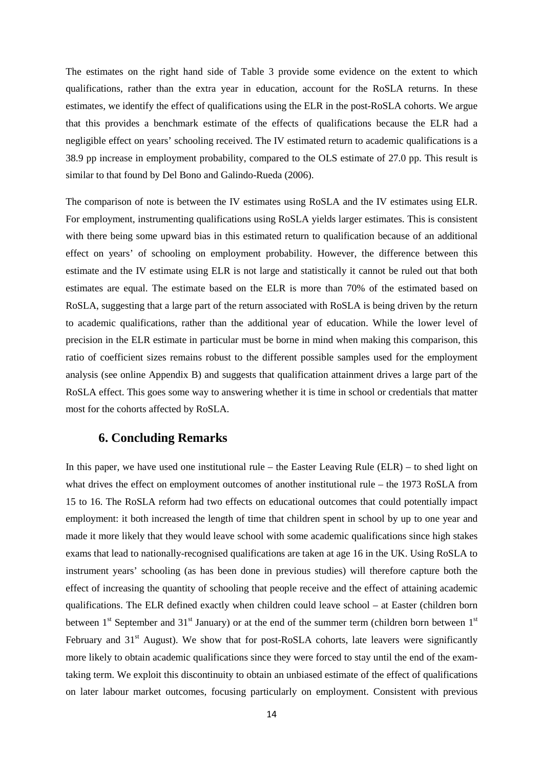The estimates on the right hand side of Table 3 provide some evidence on the extent to which qualifications, rather than the extra year in education, account for the RoSLA returns. In these estimates, we identify the effect of qualifications using the ELR in the post-RoSLA cohorts. We argue that this provides a benchmark estimate of the effects of qualifications because the ELR had a negligible effect on years' schooling received. The IV estimated return to academic qualifications is a 38.9 pp increase in employment probability, compared to the OLS estimate of 27.0 pp. This result is similar to that found by Del Bono and Galindo-Rueda (2006).

The comparison of note is between the IV estimates using RoSLA and the IV estimates using ELR. For employment, instrumenting qualifications using RoSLA yields larger estimates. This is consistent with there being some upward bias in this estimated return to qualification because of an additional effect on years' of schooling on employment probability. However, the difference between this estimate and the IV estimate using ELR is not large and statistically it cannot be ruled out that both estimates are equal. The estimate based on the ELR is more than 70% of the estimated based on RoSLA, suggesting that a large part of the return associated with RoSLA is being driven by the return to academic qualifications, rather than the additional year of education. While the lower level of precision in the ELR estimate in particular must be borne in mind when making this comparison, this ratio of coefficient sizes remains robust to the different possible samples used for the employment analysis (see online Appendix B) and suggests that qualification attainment drives a large part of the RoSLA effect. This goes some way to answering whether it is time in school or credentials that matter most for the cohorts affected by RoSLA.

## **6. Concluding Remarks**

In this paper, we have used one institutional rule – the Easter Leaving Rule (ELR) – to shed light on what drives the effect on employment outcomes of another institutional rule – the 1973 RoSLA from 15 to 16. The RoSLA reform had two effects on educational outcomes that could potentially impact employment: it both increased the length of time that children spent in school by up to one year and made it more likely that they would leave school with some academic qualifications since high stakes exams that lead to nationally-recognised qualifications are taken at age 16 in the UK. Using RoSLA to instrument years' schooling (as has been done in previous studies) will therefore capture both the effect of increasing the quantity of schooling that people receive and the effect of attaining academic qualifications. The ELR defined exactly when children could leave school – at Easter (children born between  $1<sup>st</sup>$  September and  $31<sup>st</sup>$  January) or at the end of the summer term (children born between  $1<sup>st</sup>$ February and  $31<sup>st</sup>$  August). We show that for post-RoSLA cohorts, late leavers were significantly more likely to obtain academic qualifications since they were forced to stay until the end of the examtaking term. We exploit this discontinuity to obtain an unbiased estimate of the effect of qualifications on later labour market outcomes, focusing particularly on employment. Consistent with previous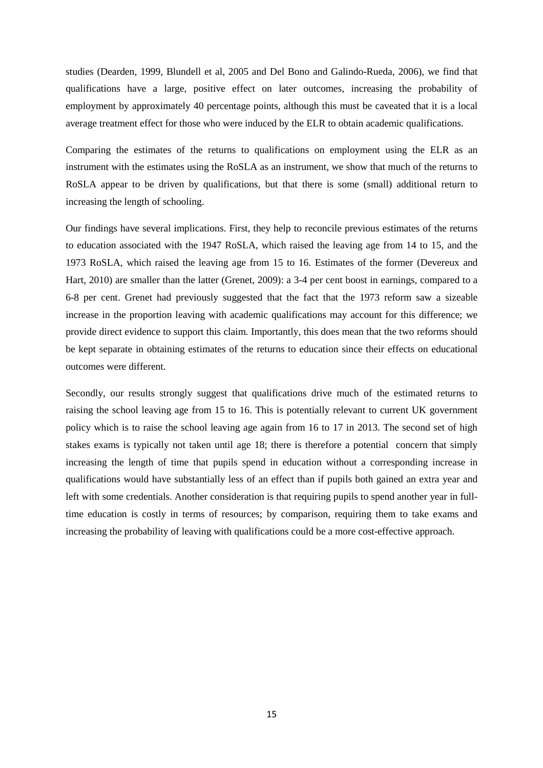studies (Dearden, 1999, Blundell et al, 2005 and Del Bono and Galindo-Rueda, 2006), we find that qualifications have a large, positive effect on later outcomes, increasing the probability of employment by approximately 40 percentage points, although this must be caveated that it is a local average treatment effect for those who were induced by the ELR to obtain academic qualifications.

Comparing the estimates of the returns to qualifications on employment using the ELR as an instrument with the estimates using the RoSLA as an instrument, we show that much of the returns to RoSLA appear to be driven by qualifications, but that there is some (small) additional return to increasing the length of schooling.

Our findings have several implications. First, they help to reconcile previous estimates of the returns to education associated with the 1947 RoSLA, which raised the leaving age from 14 to 15, and the 1973 RoSLA, which raised the leaving age from 15 to 16. Estimates of the former (Devereux and Hart, 2010) are smaller than the latter (Grenet, 2009): a 3-4 per cent boost in earnings, compared to a 6-8 per cent. Grenet had previously suggested that the fact that the 1973 reform saw a sizeable increase in the proportion leaving with academic qualifications may account for this difference; we provide direct evidence to support this claim. Importantly, this does mean that the two reforms should be kept separate in obtaining estimates of the returns to education since their effects on educational outcomes were different.

Secondly, our results strongly suggest that qualifications drive much of the estimated returns to raising the school leaving age from 15 to 16. This is potentially relevant to current UK government policy which is to raise the school leaving age again from 16 to 17 in 2013. The second set of high stakes exams is typically not taken until age 18; there is therefore a potential concern that simply increasing the length of time that pupils spend in education without a corresponding increase in qualifications would have substantially less of an effect than if pupils both gained an extra year and left with some credentials. Another consideration is that requiring pupils to spend another year in fulltime education is costly in terms of resources; by comparison, requiring them to take exams and increasing the probability of leaving with qualifications could be a more cost-effective approach.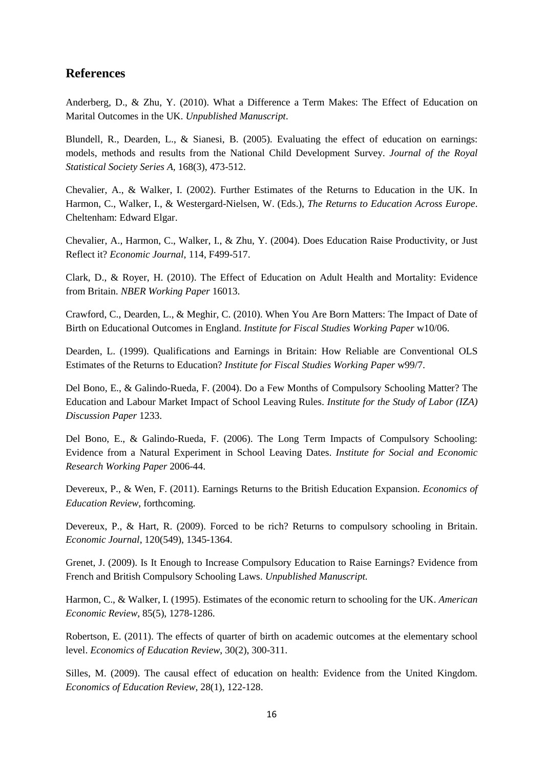# **References**

Anderberg, D., & Zhu, Y. (2010). What a Difference a Term Makes: The Effect of Education on Marital Outcomes in the UK. *Unpublished Manuscript*.

Blundell, R., Dearden, L., & Sianesi, B. (2005). Evaluating the effect of education on earnings: models, methods and results from the National Child Development Survey. *Journal of the Royal Statistical Society Series A,* 168(3), 473-512.

Chevalier, A., & Walker, I. (2002). Further Estimates of the Returns to Education in the UK. In Harmon, C., Walker, I., & Westergard-Nielsen, W. (Eds.), *The Returns to Education Across Europe*. Cheltenham: Edward Elgar.

Chevalier, A., Harmon, C., Walker, I., & Zhu, Y. (2004). Does Education Raise Productivity, or Just Reflect it? *Economic Journal*, 114, F499-517.

Clark, D., & Royer, H. (2010). The Effect of Education on Adult Health and Mortality: Evidence from Britain. *NBER Working Paper* 16013.

Crawford, C., Dearden, L., & Meghir, C. (2010). When You Are Born Matters: The Impact of Date of Birth on Educational Outcomes in England. *Institute for Fiscal Studies Working Paper* w10/06.

Dearden, L. (1999). Qualifications and Earnings in Britain: How Reliable are Conventional OLS Estimates of the Returns to Education? *Institute for Fiscal Studies Working Paper* w99/7.

Del Bono, E., & Galindo-Rueda, F. (2004). Do a Few Months of Compulsory Schooling Matter? The Education and Labour Market Impact of School Leaving Rules. *Institute for the Study of Labor (IZA) Discussion Paper* 1233.

Del Bono, E., & Galindo-Rueda, F. (2006). The Long Term Impacts of Compulsory Schooling: Evidence from a Natural Experiment in School Leaving Dates. *Institute for Social and Economic Research Working Paper* 2006-44.

Devereux, P., & Wen, F. (2011). Earnings Returns to the British Education Expansion. *Economics of Education Review*, forthcoming.

Devereux, P., & Hart, R. (2009). Forced to be rich? Returns to compulsory schooling in Britain. *Economic Journal*, 120(549), 1345-1364.

Grenet, J. (2009). Is It Enough to Increase Compulsory Education to Raise Earnings? Evidence from French and British Compulsory Schooling Laws. *Unpublished Manuscript.*

Harmon, C., & Walker, I. (1995). Estimates of the economic return to schooling for the UK. *American Economic Review*, 85(5), 1278-1286.

Robertson, E. (2011). The effects of quarter of birth on academic outcomes at the elementary school level. *Economics of Education Review*, 30(2), 300-311.

Silles, M. (2009). The causal effect of education on health: Evidence from the United Kingdom. *Economics of Education Review*, 28(1), 122-128.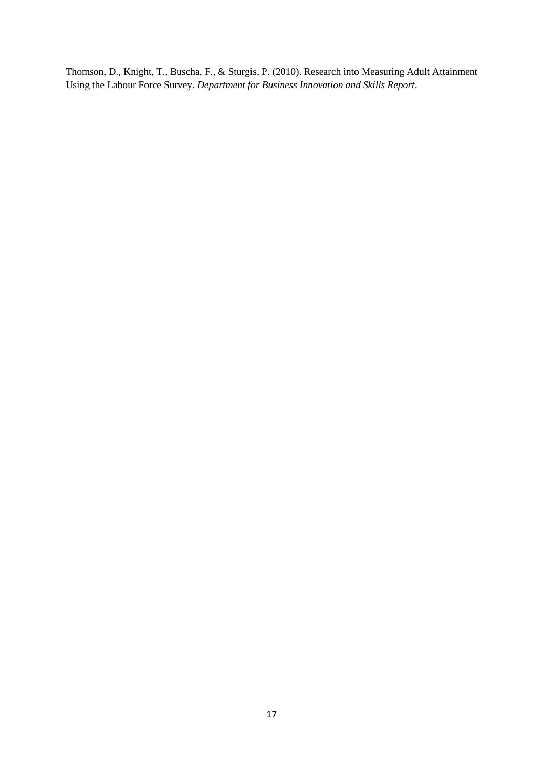Thomson, D., Knight, T., Buscha, F., & Sturgis, P. (2010). Research into Measuring Adult Attainment Using the Labour Force Survey. *Department for Business Innovation and Skills Report*.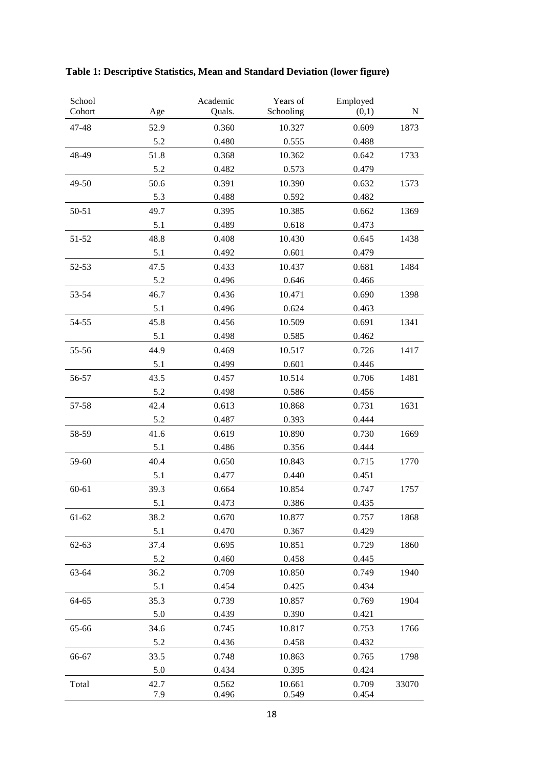| School    |      | Academic | Years of  | Employed |       |
|-----------|------|----------|-----------|----------|-------|
| Cohort    | Age  | Quals.   | Schooling | (0,1)    | N     |
| 47-48     | 52.9 | 0.360    | 10.327    | 0.609    | 1873  |
|           | 5.2  | 0.480    | 0.555     | 0.488    |       |
| 48-49     | 51.8 | 0.368    | 10.362    | 0.642    | 1733  |
|           | 5.2  | 0.482    | 0.573     | 0.479    |       |
| 49-50     | 50.6 | 0.391    | 10.390    | 0.632    | 1573  |
|           | 5.3  | 0.488    | 0.592     | 0.482    |       |
| $50 - 51$ | 49.7 | 0.395    | 10.385    | 0.662    | 1369  |
|           | 5.1  | 0.489    | 0.618     | 0.473    |       |
| 51-52     | 48.8 | 0.408    | 10.430    | 0.645    | 1438  |
|           | 5.1  | 0.492    | 0.601     | 0.479    |       |
| 52-53     | 47.5 | 0.433    | 10.437    | 0.681    | 1484  |
|           | 5.2  | 0.496    | 0.646     | 0.466    |       |
| 53-54     | 46.7 | 0.436    | 10.471    | 0.690    | 1398  |
|           | 5.1  | 0.496    | 0.624     | 0.463    |       |
| 54-55     | 45.8 | 0.456    | 10.509    | 0.691    | 1341  |
|           | 5.1  | 0.498    | 0.585     | 0.462    |       |
| 55-56     | 44.9 | 0.469    | 10.517    | 0.726    | 1417  |
|           | 5.1  | 0.499    | 0.601     | 0.446    |       |
| 56-57     | 43.5 | 0.457    | 10.514    | 0.706    | 1481  |
|           | 5.2  | 0.498    | 0.586     | 0.456    |       |
| 57-58     | 42.4 | 0.613    | 10.868    | 0.731    | 1631  |
|           | 5.2  | 0.487    | 0.393     | 0.444    |       |
| 58-59     | 41.6 | 0.619    | 10.890    | 0.730    | 1669  |
|           | 5.1  | 0.486    | 0.356     | 0.444    |       |
| 59-60     | 40.4 | 0.650    | 10.843    | 0.715    | 1770  |
|           | 5.1  | 0.477    | 0.440     | 0.451    |       |
| $60 - 61$ | 39.3 | 0.664    | 10.854    | 0.747    | 1757  |
|           | 5.1  | 0.473    | 0.386     | 0.435    |       |
| $61 - 62$ | 38.2 | 0.670    | 10.877    | 0.757    | 1868  |
|           | 5.1  | 0.470    | 0.367     | 0.429    |       |
| $62 - 63$ | 37.4 | 0.695    | 10.851    | 0.729    | 1860  |
|           | 5.2  | 0.460    | 0.458     | 0.445    |       |
| 63-64     | 36.2 | 0.709    | 10.850    | 0.749    | 1940  |
|           | 5.1  | 0.454    | 0.425     | 0.434    |       |
| 64-65     | 35.3 | 0.739    | 10.857    | 0.769    | 1904  |
|           | 5.0  | 0.439    | 0.390     | 0.421    |       |
| 65-66     | 34.6 | 0.745    | 10.817    | 0.753    | 1766  |
|           | 5.2  | 0.436    | 0.458     | 0.432    |       |
| 66-67     | 33.5 | 0.748    | 10.863    | 0.765    | 1798  |
|           | 5.0  | 0.434    | 0.395     | 0.424    |       |
| Total     | 42.7 | 0.562    | 10.661    | 0.709    | 33070 |
|           | 7.9  | 0.496    | 0.549     | 0.454    |       |

**Table 1: Descriptive Statistics, Mean and Standard Deviation (lower figure)**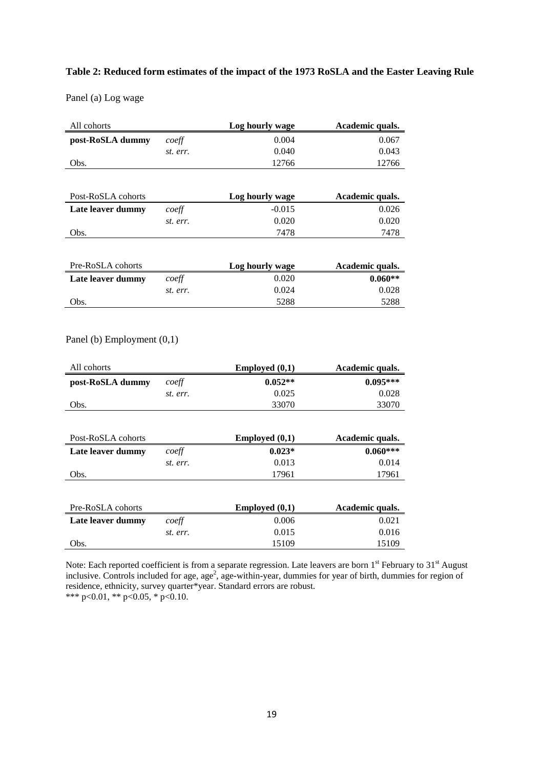### **Table 2: Reduced form estimates of the impact of the 1973 RoSLA and the Easter Leaving Rule**

Panel (a) Log wage

| All cohorts      |          | Log hourly wage | Academic quals. |
|------------------|----------|-----------------|-----------------|
| post-RoSLA dummy | coeff    | 0.004           | 0.067           |
|                  | st. err. | 0.040           | 0.043           |
| Obs.             |          | 12766           | 12766           |
|                  |          |                 |                 |

| Post-RoSLA cohorts |          | Log hourly wage | Academic quals. |
|--------------------|----------|-----------------|-----------------|
| Late leaver dummy  | coeff    | $-0.015$        | 0.026           |
|                    | st. err. | 0.020           | 0.020           |
| Obs.               |          | 7478            | 7478            |

| Pre-RoSLA cohorts |          | Log hourly wage | Academic quals. |
|-------------------|----------|-----------------|-----------------|
| Late leaver dummy | coeff    | 0.020           | $0.060**$       |
|                   | st. err. | 0.024           | 0.028           |
| Obs.              |          | 5288            | 5288            |

### Panel (b) Employment (0,1)

| All cohorts      |          | <b>Employed</b> $(0,1)$ | Academic quals. |
|------------------|----------|-------------------------|-----------------|
| post-RoSLA dummy | coeff    | $0.052**$               | $0.095***$      |
|                  | st. err. | 0.025                   | 0.028           |
| Obs.             |          | 33070                   | 33070           |
|                  |          |                         |                 |

| Post-RoSLA cohorts                         |          | <b>Employed</b> $(0,1)$ | Academic quals. |
|--------------------------------------------|----------|-------------------------|-----------------|
| Late leaver dummy                          | coeff    | $0.023*$                | $0.060***$      |
|                                            | st. err. | 0.013                   | 0.014           |
| Obs.                                       |          | 17961                   | 17961           |
|                                            |          |                         |                 |
| $D_{r0}$ $D_{\alpha}$ CI $\Lambda$ cohorte |          | $E_{mn}$ layad (0.1)    | Acodemic quels  |

| Pre-RoSLA cohorts |          | <b>Employed</b> $(0,1)$ | Academic quals. |
|-------------------|----------|-------------------------|-----------------|
| Late leaver dummy | coeff    | 0.006                   | 0.021           |
|                   | st. err. | 0.015                   | 0.016           |
| Obs.              |          | 15109                   | 15109           |

Note: Each reported coefficient is from a separate regression. Late leavers are born  $1<sup>st</sup>$  February to 31 $<sup>st</sup>$  August</sup> inclusive. Controls included for age, age<sup>2</sup>, age-within-year, dummies for year of birth, dummies for region of residence, ethnicity, survey quarter\*year. Standard errors are robust.

\*\*\* p<0.01, \*\* p<0.05, \* p<0.10.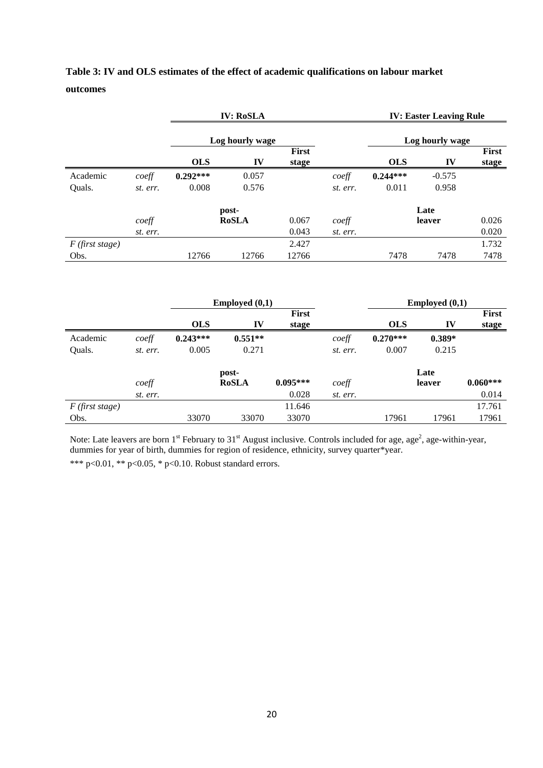| Table 3: IV and OLS estimates of the effect of academic qualifications on labour market |  |  |  |
|-----------------------------------------------------------------------------------------|--|--|--|
| outcomes                                                                                |  |  |  |

|                   |          | <b>IV: RoSLA</b><br>Log hourly wage |              |                |          |            | <b>IV: Easter Leaving Rule</b> |                       |
|-------------------|----------|-------------------------------------|--------------|----------------|----------|------------|--------------------------------|-----------------------|
|                   |          |                                     |              |                |          |            | Log hourly wage                |                       |
|                   |          | <b>OLS</b>                          | IV           | First<br>stage |          | <b>OLS</b> | IV                             | <b>First</b><br>stage |
| Academic          | coeff    | $0.292***$                          | 0.057        |                | coeff    | $0.244***$ | $-0.575$                       |                       |
| Quals.            | st. err. | 0.008                               | 0.576        |                | st. err. | 0.011      | 0.958                          |                       |
|                   |          |                                     | post-        |                |          |            | Late                           |                       |
|                   | coeff    |                                     | <b>RoSLA</b> | 0.067          | coeff    |            | leaver                         | 0.026                 |
|                   | st. err. |                                     |              | 0.043          | st. err. |            |                                | 0.020                 |
| $F$ (first stage) |          |                                     |              | 2.427          |          |            |                                | 1.732                 |
| Obs.              |          | 12766                               | 12766        | 12766          |          | 7478       | 7478                           | 7478                  |

|                   |          |            | <b>Employed</b> $(0,1)$ |            |          |            | Emploved(0,1) |            |
|-------------------|----------|------------|-------------------------|------------|----------|------------|---------------|------------|
|                   |          |            |                         | First      |          |            |               | First      |
|                   |          | <b>OLS</b> | IV                      | stage      |          | <b>OLS</b> | IV            | stage      |
| Academic          | coeff    | $0.243***$ | $0.551**$               |            | coeff    | $0.270***$ | $0.389*$      |            |
| Quals.            | st. err. | 0.005      | 0.271                   |            | st. err. | 0.007      | 0.215         |            |
|                   |          |            | post-                   |            |          |            | Late          |            |
|                   | coeff    |            | <b>RoSLA</b>            | $0.095***$ | coeff    |            | leaver        | $0.060***$ |
|                   | st. err. |            |                         | 0.028      | st. err. |            |               | 0.014      |
| $F$ (first stage) |          |            |                         | 11.646     |          |            |               | 17.761     |
| Obs.              |          | 33070      | 33070                   | 33070      |          | 17961      | 17961         | 17961      |

Note: Late leavers are born  $1^{st}$  February to  $31^{st}$  August inclusive. Controls included for age, age<sup>2</sup>, age-within-year, dummies for year of birth, dummies for region of residence, ethnicity, survey quarter\*year. \*\*\* p<0.01, \*\* p<0.05, \* p<0.10. Robust standard errors.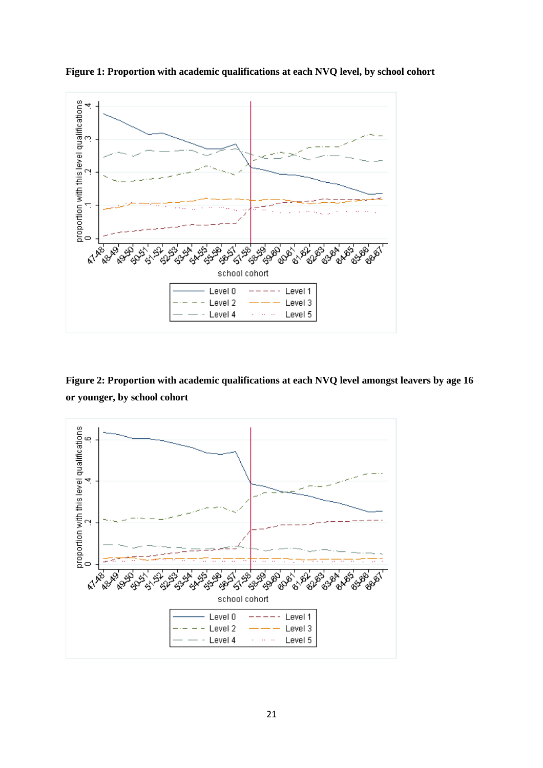

**Figure 1: Proportion with academic qualifications at each NVQ level, by school cohort** 

**Figure 2: Proportion with academic qualifications at each NVQ level amongst leavers by age 16 or younger, by school cohort** 

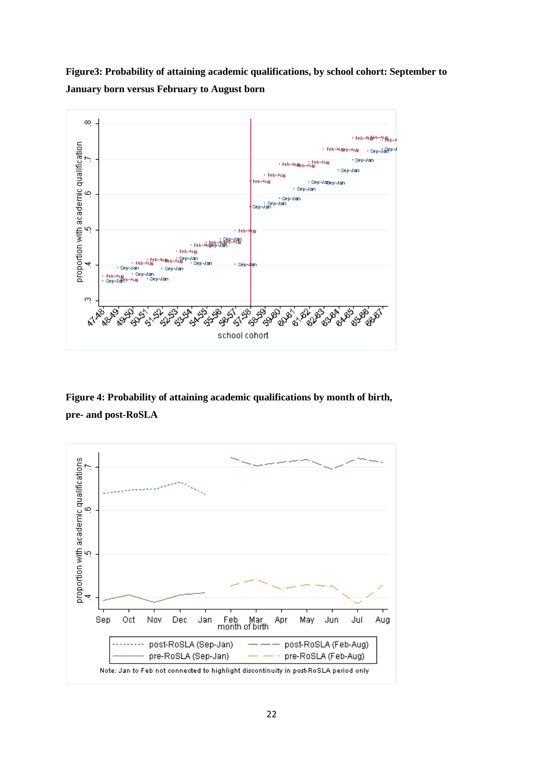**Figure3: Probability of attaining academic qualifications, by school cohort: September to January born versus February to August born** 



**Figure 4: Probability of attaining academic qualifications by month of birth, pre- and post-RoSLA**